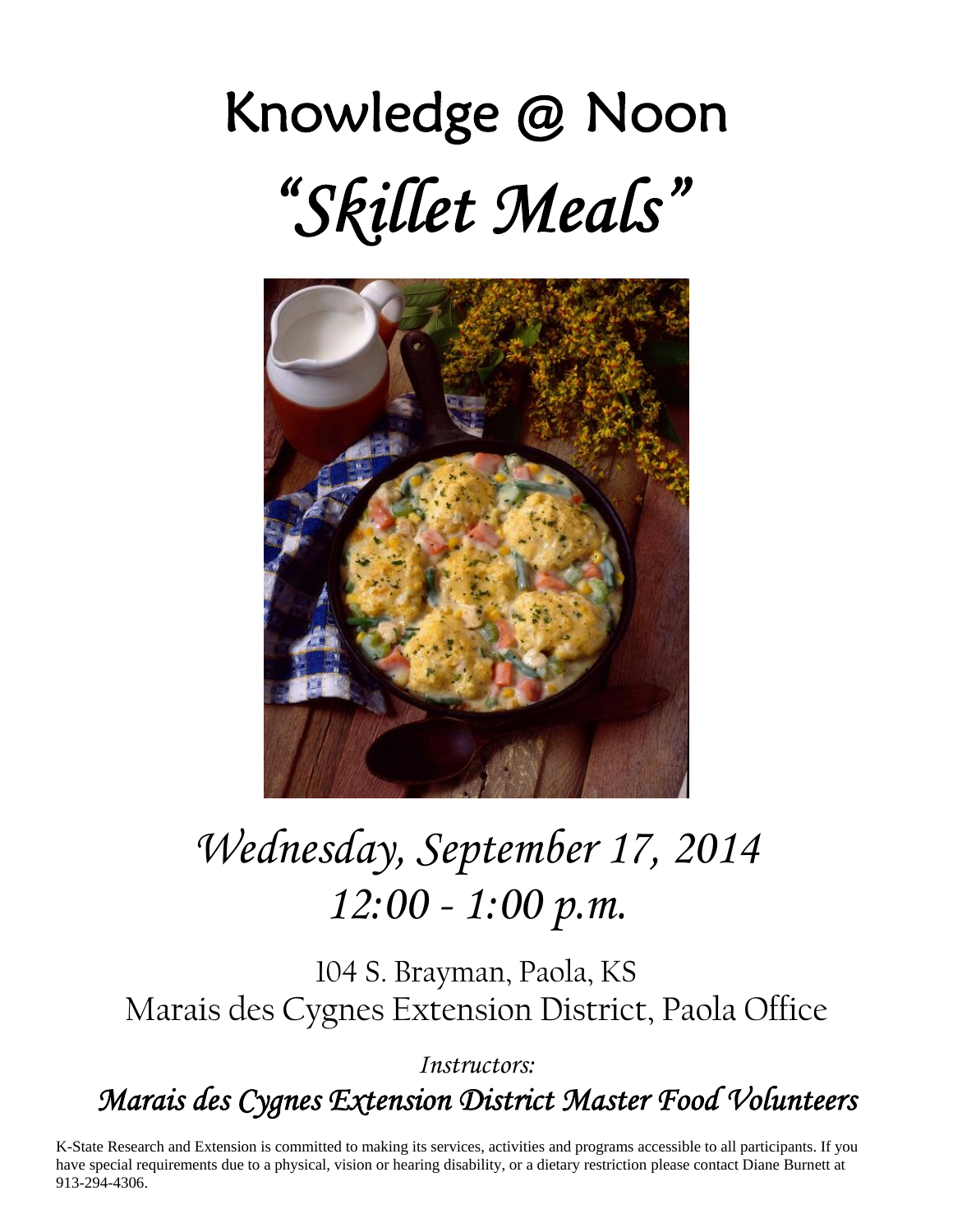# Knowledge @ Noon *"Skillet Meals"*



# *Wednesday, September 17, 2014 12:00 - 1:00 p.m.*

104 S. Brayman, Paola, KS Marais des Cygnes Extension District, Paola Office

*Instructors: Marais des Cygnes Extension District Master Food Volunteers* 

K-State Research and Extension is committed to making its services, activities and programs accessible to all participants. If you have special requirements due to a physical, vision or hearing disability, or a dietary restriction please contact Diane Burnett at 913-294-4306.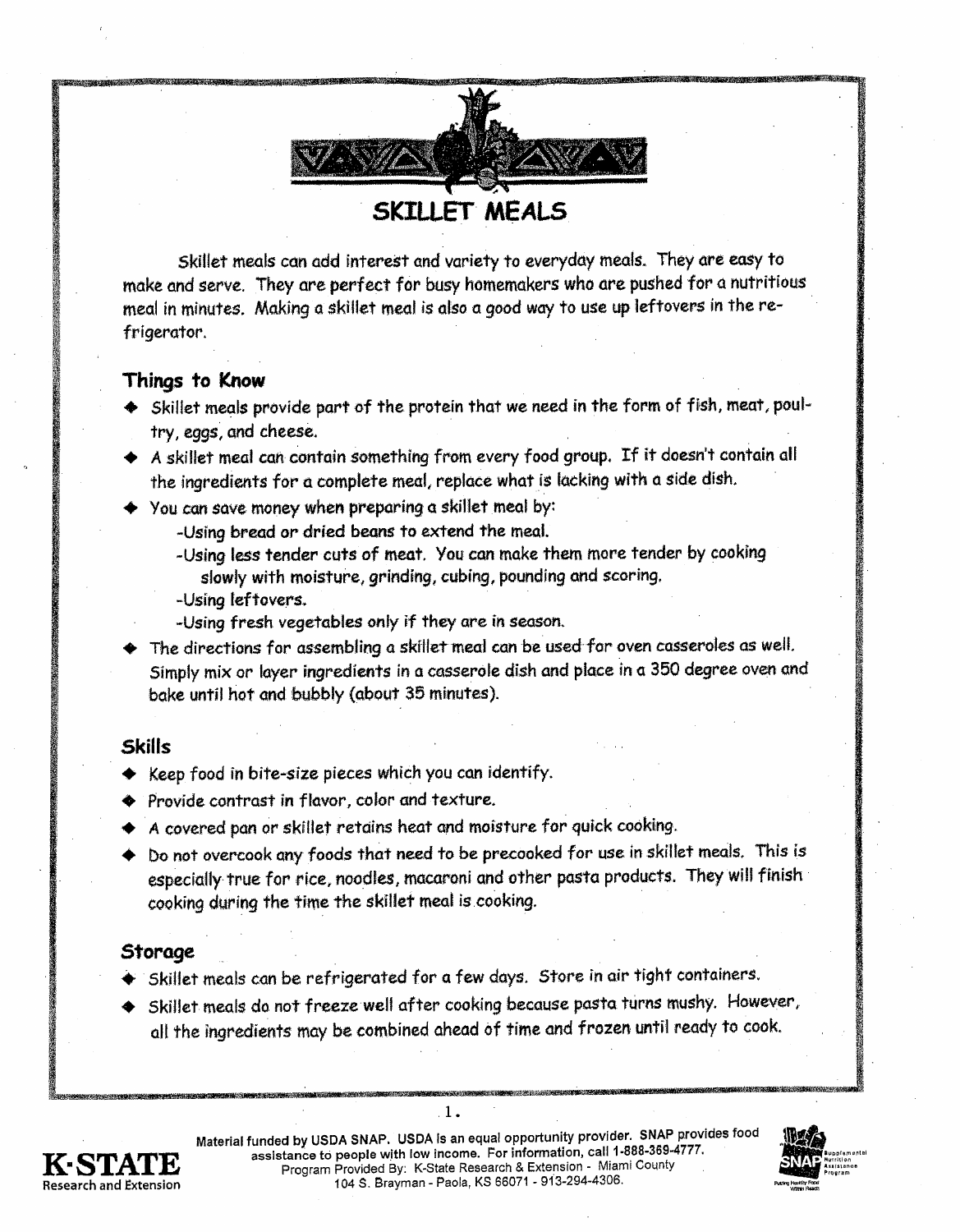

Skillet meals can add interest and variety to everyday meals. They are easy to make and serve. They are perfect for busy homemakers who are pushed for a nutritious meal in minutes. Making a skillet meal is also a good way to use up leftovers in the refrigerator.

#### Things to Know

- Skillet meals provide part of the protein that we need in the form of fish, meat, poultry, eggs, and cheese.
- $\blacktriangleright$  A skillet meal can contain something from every food group. If it doesn't contain all the ingredients for a complete meal, replace what is lacking with a side dish.
- You can save money when preparing a skillet meal by:
	- -Using bread or dried beans to extend the meal.
	- -Using less tender cuts of meat. You can make them more tender by cooking slowly with moisture, grinding, cubing, pounding and scoring.
	- -Using leftovers.
	- -Using fresh vegetables only if they are in season.
- The directions for assembling a skillet meal can be used for oven casseroles as well. Simply mix or layer ingredients in a casserole dish and place in a 350 degree oven and bake until hot and bubbly (about 35 minutes).

#### **Skills**

- $\blacklozenge$  Keep food in bite-size pieces which you can identify.
- $\blacklozenge$  Provide contrast in flavor, color and texture.
- A covered pan or skillet retains heat and moisture for quick cooking.
- $\blacktriangleright$  Do not overcook any foods that need to be precooked for use in skillet meals. This is especially true for rice, noodles, macaroni and other pasta products. They will finish cooking during the time the skillet meal is cooking.

#### Storage

- $\blacklozenge$  Skillet meals can be refrigerated for a few days. Store in air tight containers.
- $\blacklozenge$  Skillet meals do not freeze well after cooking because pasta turns mushy. However, all the ingredients may be combined ahead of time and frozen until ready to cook.

 $1.$ 



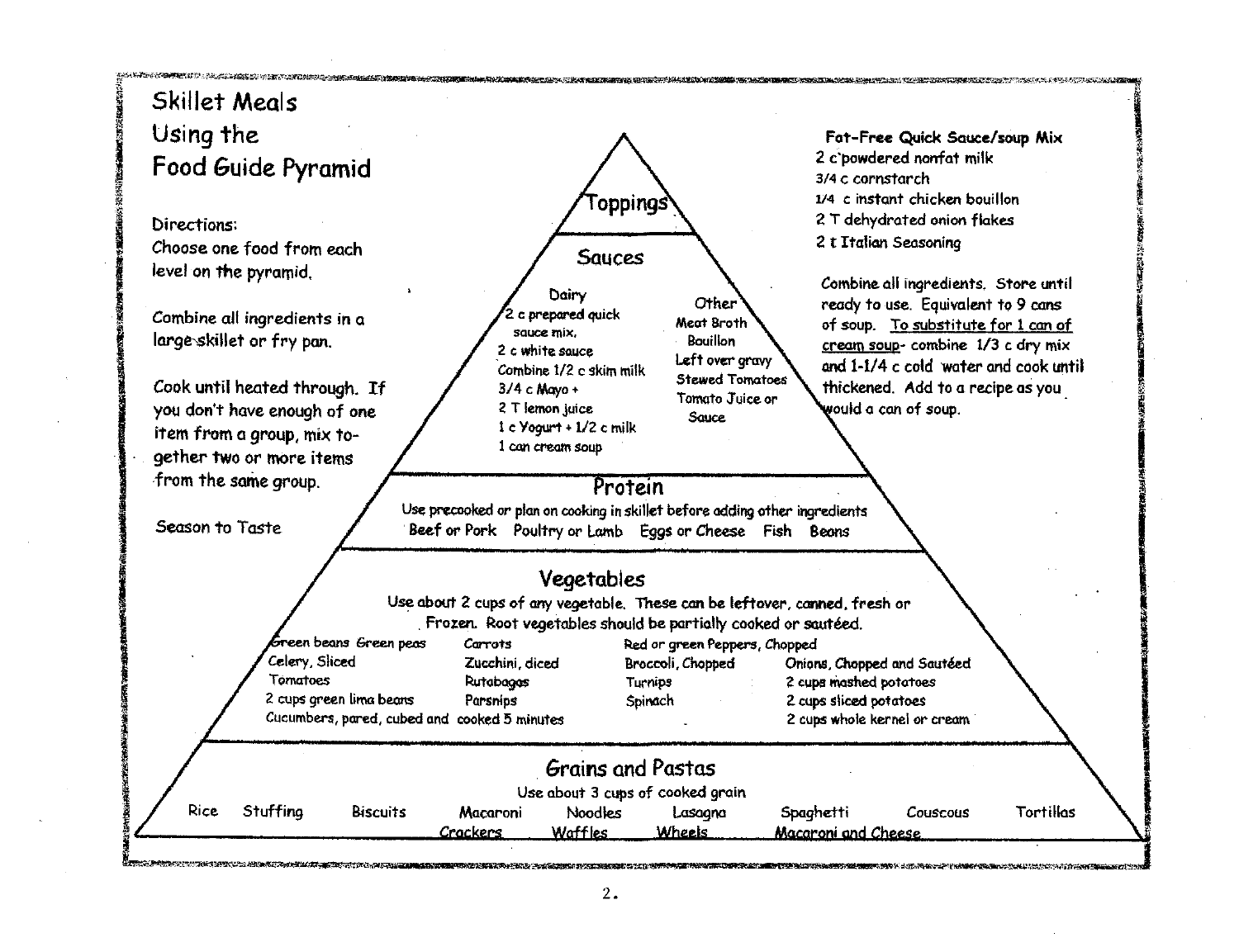### Skillet Meals Using the Food Guide Pyramid

Directions: Choose one food from each level on the pyramid.

Combine all ingredients in a large skillet or fry pan.

Cook until heated through. If you don't have enough of one item from a group, mix together two or more items from the same group.

Green beans Green peas

2 cups green lima beans

Celery, Sliced

**Tomatoes** 

Season to Taste

oppings." **Sauces** Dairy Other 2 c prepared quick Meat Broth sauce mix. **Bouillon** 2 c white squce Left over gravy Combine 1/2 c skim milk **Stewed Tomatoes**  $3/4$  c Mayo + Tomato Juice or 2 T lemon juice **Sauce**  $1 c$  Yogurt +  $1/2 c$  milk 1 can cream soup

Fat-Free Quick Sauce/soup Mix 2 c'howdered nonfat milk 3/4 c cornstanch 1/4 c instant chicken bouillon 2 T dehydrated onion flakes 2 t Italian Seasoning

Combine all ingredients. Store until ready to use. Equivalent to 9 cans of soup. To substitute for 1 can of cream soup- combine 1/3 c dry mix and 1-1/4 c cold water and cook until thickened. Add to a recipe as you would a can of soup.

Protein Use precooked or plan on cooking in skillet before adding other ingredients Beef or Pork Poultry or Lamb Eggs or Cheese Fish Beans

#### Vegetables

Carrots

Rutabagas

Parsnips

Zucchini diced

Use about 2 cups of any vegetable. These can be leftover, canned, fresh or Frozen. Root vegetables should be partially cooked or sautéed.

Turnips

Spinach

Red or green Peppers, Chopped Broccoli Chopped

Onions, Chopped and Sautéed 2 cups mashed potatoes

2 cups sliced potatoes

2 cups whole kernel or cream

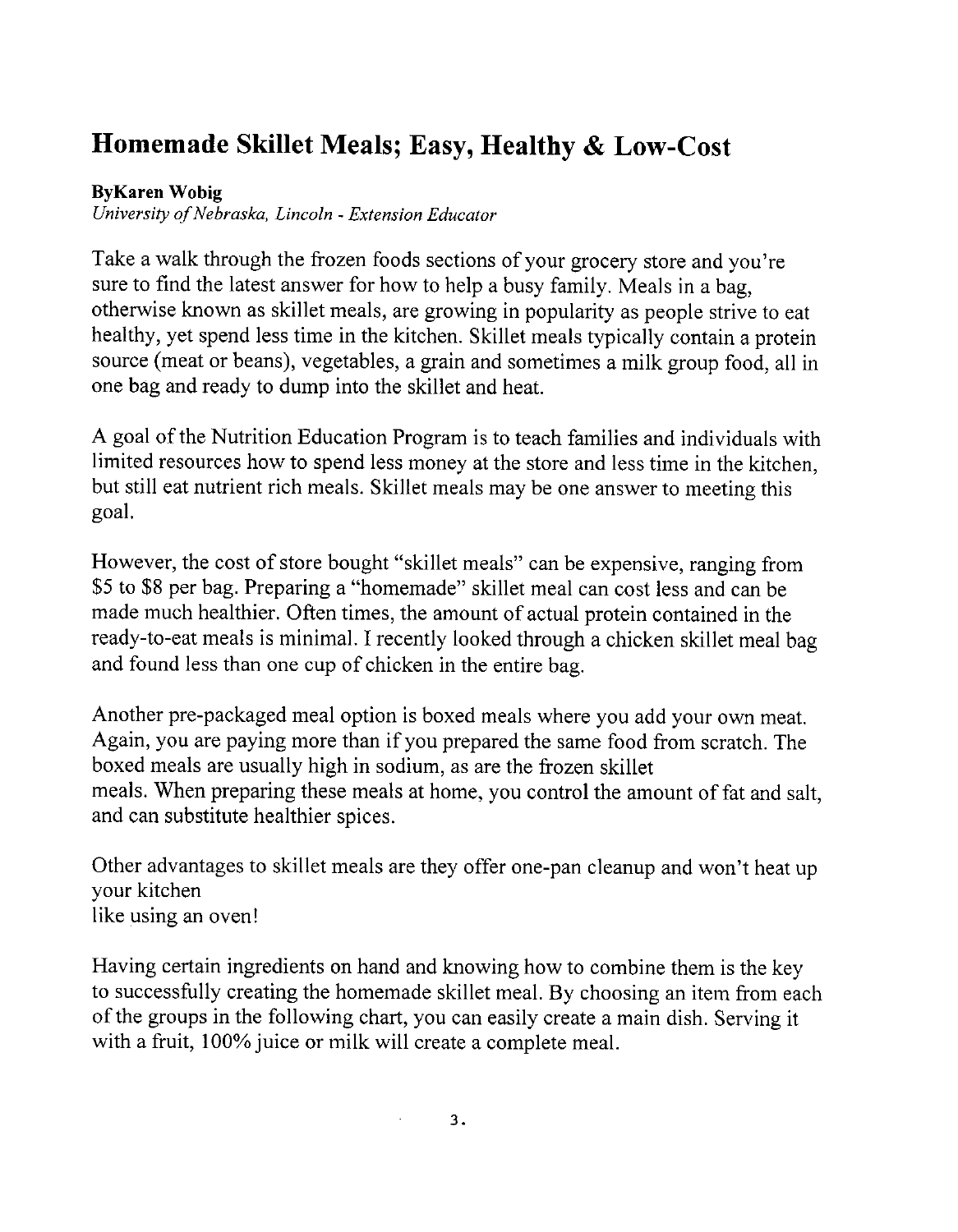### Homemade Skillet Meals; Easy, Healthy & Low-Cost

#### **ByKaren Wobig**

University of Nebraska, Lincoln - Extension Educator

Take a walk through the frozen foods sections of your grocery store and you're sure to find the latest answer for how to help a busy family. Meals in a bag, otherwise known as skillet meals, are growing in popularity as people strive to eat healthy, yet spend less time in the kitchen. Skillet meals typically contain a protein source (meat or beans), vegetables, a grain and sometimes a milk group food, all in one bag and ready to dump into the skillet and heat.

A goal of the Nutrition Education Program is to teach families and individuals with limited resources how to spend less money at the store and less time in the kitchen. but still eat nutrient rich meals. Skillet meals may be one answer to meeting this goal.

However, the cost of store bought "skillet meals" can be expensive, ranging from \$5 to \$8 per bag. Preparing a "homemade" skillet meal can cost less and can be made much healthier. Often times, the amount of actual protein contained in the ready-to-eat meals is minimal. I recently looked through a chicken skillet meal bag and found less than one cup of chicken in the entire bag.

Another pre-packaged meal option is boxed meals where you add your own meat. Again, you are paying more than if you prepared the same food from scratch. The boxed meals are usually high in sodium, as are the frozen skillet meals. When preparing these meals at home, you control the amount of fat and salt, and can substitute healthier spices.

Other advantages to skillet meals are they offer one-pan cleanup and won't heat up your kitchen like using an oven!

Having certain ingredients on hand and knowing how to combine them is the key to successfully creating the homemade skillet meal. By choosing an item from each of the groups in the following chart, you can easily create a main dish. Serving it with a fruit, 100% juice or milk will create a complete meal.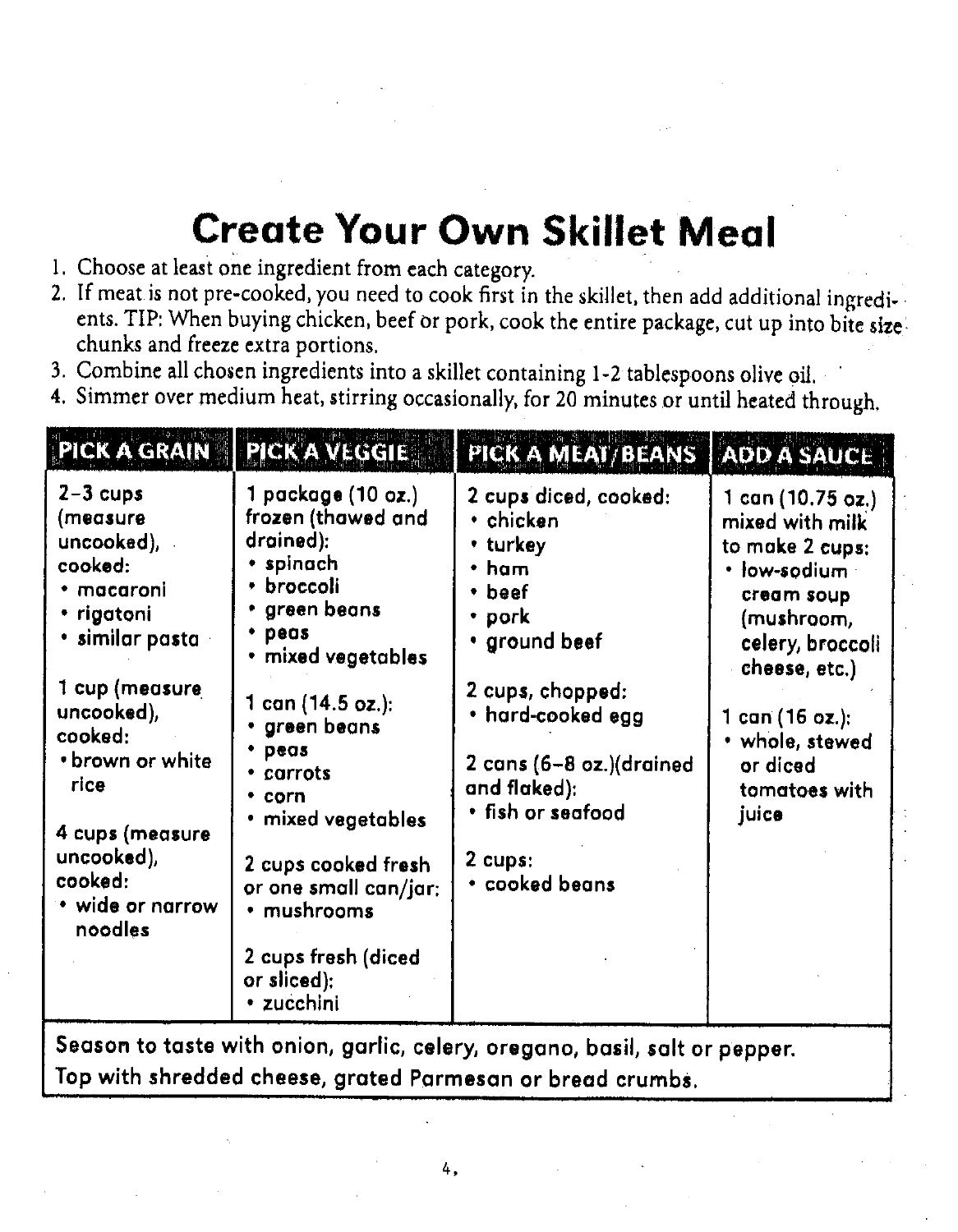## **Create Your Own Skillet Meal**

- 1. Choose at least one ingredient from each category.
- 2. If meat is not pre-cooked, you need to cook first in the skillet, then add additional ingredients. TIP: When buying chicken, beef or pork, cook the entire package, cut up into bite size. chunks and freeze extra portions.
- 3. Combine all chosen ingredients into a skillet containing 1-2 tablespoons olive oil.
- 4. Simmer over medium heat, stirring occasionally, for 20 minutes or until heated through.

| <b>PICK A GRAIN</b>                                                                                                                                                                                                                                 | <b>PICK A VEGGIE</b>                                                                                                                                                                                                                                                                                                                           | PICK A MEAT/BEANS                                                                                                                                                                                                               | <b>ADD A SAUCE</b>                                                                                                                                                                                                   |
|-----------------------------------------------------------------------------------------------------------------------------------------------------------------------------------------------------------------------------------------------------|------------------------------------------------------------------------------------------------------------------------------------------------------------------------------------------------------------------------------------------------------------------------------------------------------------------------------------------------|---------------------------------------------------------------------------------------------------------------------------------------------------------------------------------------------------------------------------------|----------------------------------------------------------------------------------------------------------------------------------------------------------------------------------------------------------------------|
| $2 - 3$ cups<br>(measure<br>uncooked),<br>cooked:<br>• macaroni<br>• rigatoni<br>• similar pasta<br>1 cup (measure)<br>uncooked),<br>cooked:<br>• brown or white<br>rice<br>4 cups (measure<br>uncooked),<br>cooked:<br>• wide or narrow<br>noodles | 1 package (10 oz.).<br>frozen (thawed and<br>drained):<br>• spinach<br>• broccoli<br>• green beans<br>peas<br>• mixed vegetables<br>1 can (14.5 oz.):<br>• green beans<br>peas<br>• carrots<br>• corn<br>· mixed vegetables<br>2 cups cooked fresh<br>or one small can/jar:<br>• mushrooms<br>2 cups fresh (diced<br>or sliced):<br>• zucchini | 2 cups diced, cooked:<br>• chicken<br>• turkey<br>ham<br>beef<br>• pork<br>• ground beef<br>2 cups, chopped:<br>• hard-cooked egg<br>2 cans (6-8 oz.)(drained<br>and flaked):<br>• fish or seafood<br>2 cups:<br>• cooked beans | 1 can (10.75 oz.)<br>mixed with milk<br>to make 2 cups:<br>· low-sodium<br>cream soup<br>(mushroom,<br>celery, broccoli<br>cheese, etc.)<br>1 can (16 oz.):<br>· whole, stewed<br>or diced<br>tomatoes with<br>juice |

Season to taste with onion, garlic, celery, oregano, basil, salt or pepper. Top with shredded cheese, grated Parmesan or bread crumbs.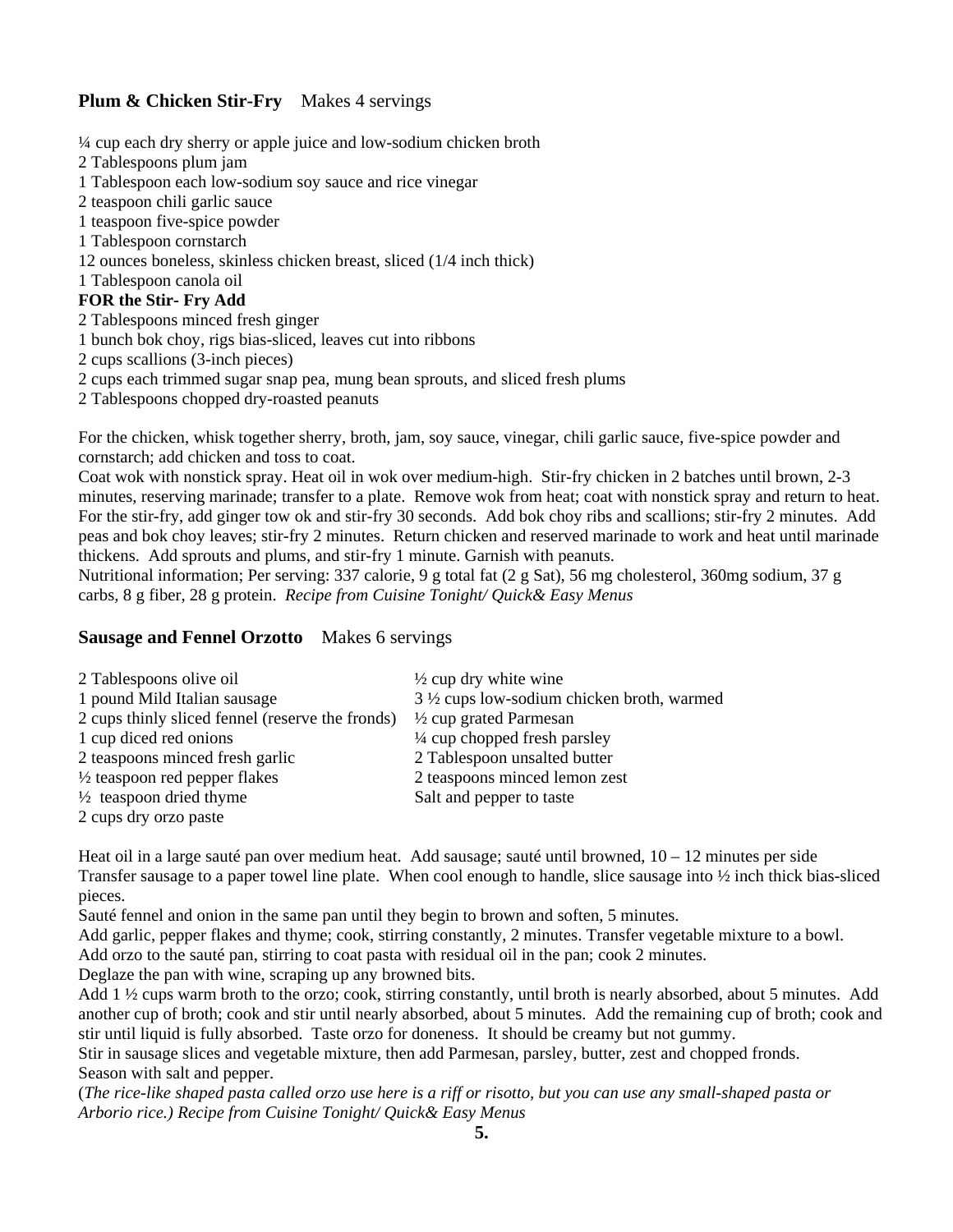#### **Plum & Chicken Stir-Fry** Makes 4 servings

¼ cup each dry sherry or apple juice and low-sodium chicken broth 2 Tablespoons plum jam 1 Tablespoon each low-sodium soy sauce and rice vinegar 2 teaspoon chili garlic sauce 1 teaspoon five-spice powder 1 Tablespoon cornstarch 12 ounces boneless, skinless chicken breast, sliced (1/4 inch thick) 1 Tablespoon canola oil **FOR the Stir- Fry Add**  2 Tablespoons minced fresh ginger 1 bunch bok choy, rigs bias-sliced, leaves cut into ribbons 2 cups scallions (3-inch pieces) 2 cups each trimmed sugar snap pea, mung bean sprouts, and sliced fresh plums 2 Tablespoons chopped dry-roasted peanuts

For the chicken, whisk together sherry, broth, jam, soy sauce, vinegar, chili garlic sauce, five-spice powder and cornstarch; add chicken and toss to coat.

Coat wok with nonstick spray. Heat oil in wok over medium-high. Stir-fry chicken in 2 batches until brown, 2-3 minutes, reserving marinade; transfer to a plate. Remove wok from heat; coat with nonstick spray and return to heat. For the stir-fry, add ginger tow ok and stir-fry 30 seconds. Add bok choy ribs and scallions; stir-fry 2 minutes. Add peas and bok choy leaves; stir-fry 2 minutes. Return chicken and reserved marinade to work and heat until marinade thickens. Add sprouts and plums, and stir-fry 1 minute. Garnish with peanuts.

Nutritional information; Per serving: 337 calorie, 9 g total fat (2 g Sat), 56 mg cholesterol, 360mg sodium, 37 g carbs, 8 g fiber, 28 g protein. *Recipe from Cuisine Tonight/ Quick& Easy Menus* 

#### **Sausage and Fennel Orzotto** Makes 6 servings

| 2 Tablespoons olive oil                          | $\frac{1}{2}$ cup dry white wine                     |
|--------------------------------------------------|------------------------------------------------------|
| 1 pound Mild Italian sausage                     | $3\frac{1}{2}$ cups low-sodium chicken broth, warmed |
| 2 cups thinly sliced fennel (reserve the fronds) | $\frac{1}{2}$ cup grated Parmesan                    |
| 1 cup diced red onions                           | $\frac{1}{4}$ cup chopped fresh parsley              |
| 2 teaspoons minced fresh garlic                  | 2 Tablespoon unsalted butter                         |
| $\frac{1}{2}$ teaspoon red pepper flakes         | 2 teaspoons minced lemon zest                        |
| $\frac{1}{2}$ teaspoon dried thyme               | Salt and pepper to taste                             |
| 2 cups dry orzo paste                            |                                                      |

Heat oil in a large sauté pan over medium heat. Add sausage; sauté until browned,  $10 - 12$  minutes per side Transfer sausage to a paper towel line plate. When cool enough to handle, slice sausage into ½ inch thick bias-sliced pieces.

Sauté fennel and onion in the same pan until they begin to brown and soften, 5 minutes.

Add garlic, pepper flakes and thyme; cook, stirring constantly, 2 minutes. Transfer vegetable mixture to a bowl.

Add orzo to the sauté pan, stirring to coat pasta with residual oil in the pan; cook 2 minutes.

Deglaze the pan with wine, scraping up any browned bits.

Add 1 ½ cups warm broth to the orzo; cook, stirring constantly, until broth is nearly absorbed, about 5 minutes. Add another cup of broth; cook and stir until nearly absorbed, about 5 minutes. Add the remaining cup of broth; cook and stir until liquid is fully absorbed. Taste orzo for doneness. It should be creamy but not gummy.

Stir in sausage slices and vegetable mixture, then add Parmesan, parsley, butter, zest and chopped fronds. Season with salt and pepper.

(*The rice-like shaped pasta called orzo use here is a riff or risotto, but you can use any small-shaped pasta or Arborio rice.) Recipe from Cuisine Tonight/ Quick& Easy Menus*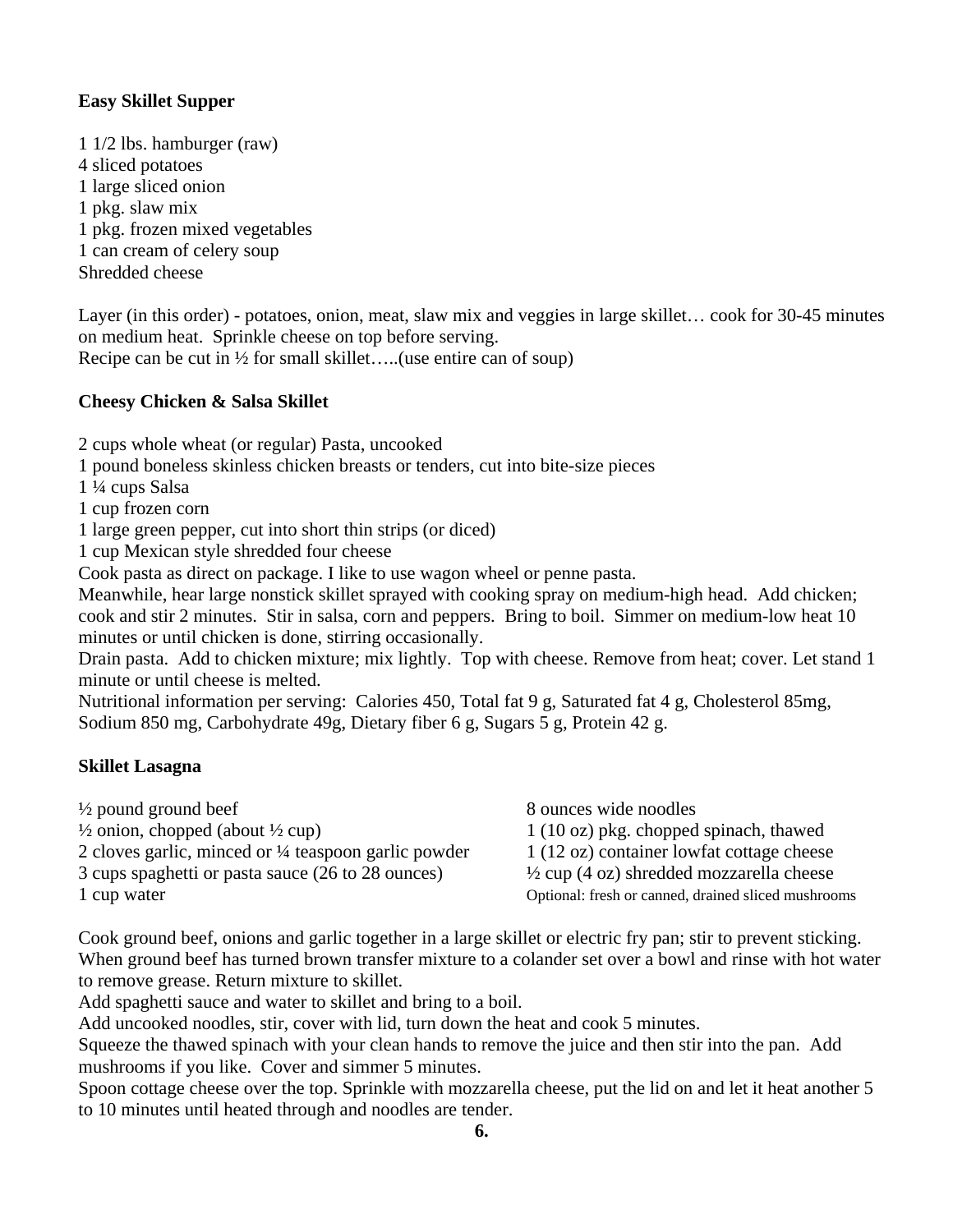#### **Easy Skillet Supper**

1 1/2 lbs. hamburger (raw) 4 sliced potatoes 1 large sliced onion 1 pkg. slaw mix 1 pkg. frozen mixed vegetables 1 can cream of celery soup Shredded cheese

Layer (in this order) - potatoes, onion, meat, slaw mix and veggies in large skillet… cook for 30-45 minutes on medium heat. Sprinkle cheese on top before serving. Recipe can be cut in  $\frac{1}{2}$  for small skillet.....(use entire can of soup)

#### **Cheesy Chicken & Salsa Skillet**

2 cups whole wheat (or regular) Pasta, uncooked

1 pound boneless skinless chicken breasts or tenders, cut into bite-size pieces

1 ¼ cups Salsa

1 cup frozen corn

1 large green pepper, cut into short thin strips (or diced)

1 cup Mexican style shredded four cheese

Cook pasta as direct on package. I like to use wagon wheel or penne pasta.

Meanwhile, hear large nonstick skillet sprayed with cooking spray on medium-high head. Add chicken; cook and stir 2 minutes. Stir in salsa, corn and peppers. Bring to boil. Simmer on medium-low heat 10 minutes or until chicken is done, stirring occasionally.

Drain pasta. Add to chicken mixture; mix lightly. Top with cheese. Remove from heat; cover. Let stand 1 minute or until cheese is melted.

Nutritional information per serving: Calories 450, Total fat 9 g, Saturated fat 4 g, Cholesterol 85mg, Sodium 850 mg, Carbohydrate 49g, Dietary fiber 6 g, Sugars 5 g, Protein 42 g.

#### **Skillet Lasagna**

| $\frac{1}{2}$ pound ground beef                                 | 8 ounces wide noodles                               |
|-----------------------------------------------------------------|-----------------------------------------------------|
| $\frac{1}{2}$ onion, chopped (about $\frac{1}{2}$ cup)          | 1 (10 oz) pkg. chopped spinach, thawed              |
| 2 cloves garlic, minced or $\frac{1}{4}$ teaspoon garlic powder | 1 (12 oz) container lowfat cottage cheese           |
| 3 cups spaghetti or pasta sauce (26 to 28 ounces)               | $\frac{1}{2}$ cup (4 oz) shredded mozzarella cheese |
| 1 cup water                                                     | Optional: fresh or canned, drained sliced mushrooms |

Cook ground beef, onions and garlic together in a large skillet or electric fry pan; stir to prevent sticking. When ground beef has turned brown transfer mixture to a colander set over a bowl and rinse with hot water to remove grease. Return mixture to skillet.

Add spaghetti sauce and water to skillet and bring to a boil.

Add uncooked noodles, stir, cover with lid, turn down the heat and cook 5 minutes.

Squeeze the thawed spinach with your clean hands to remove the juice and then stir into the pan. Add mushrooms if you like. Cover and simmer 5 minutes.

Spoon cottage cheese over the top. Sprinkle with mozzarella cheese, put the lid on and let it heat another 5 to 10 minutes until heated through and noodles are tender.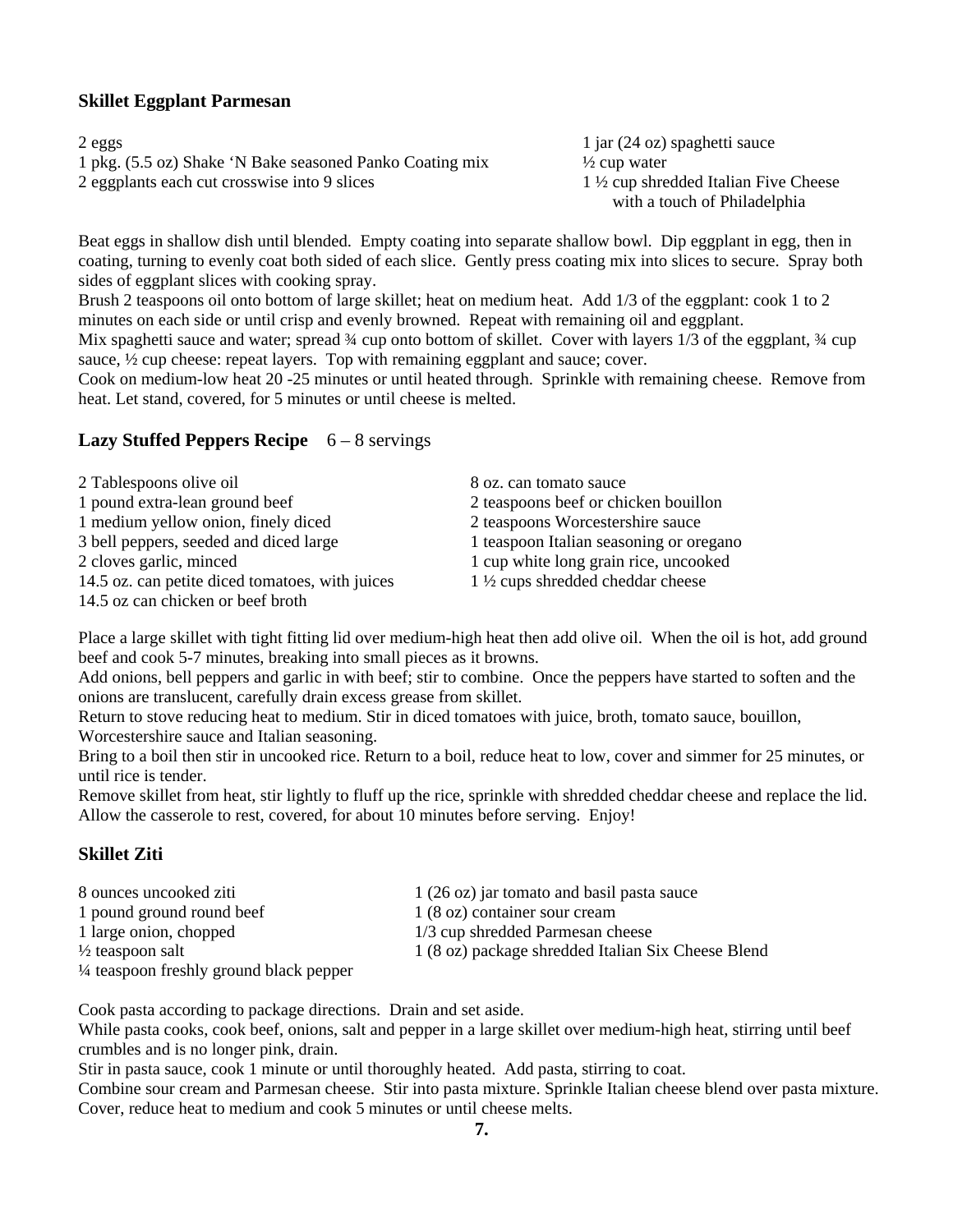#### **Skillet Eggplant Parmesan**

1 pkg. (5.5 oz) Shake 'N Bake seasoned Panko Coating mix ½ cup water 2 eggplants each cut crosswise into 9 slices 1  $\frac{1}{2}$  cup shredded Italian Five Cheese

2 eggs 1 jar (24 oz) spaghetti sauce with a touch of Philadelphia

Beat eggs in shallow dish until blended. Empty coating into separate shallow bowl. Dip eggplant in egg, then in coating, turning to evenly coat both sided of each slice. Gently press coating mix into slices to secure. Spray both sides of eggplant slices with cooking spray.

Brush 2 teaspoons oil onto bottom of large skillet; heat on medium heat. Add 1/3 of the eggplant: cook 1 to 2 minutes on each side or until crisp and evenly browned. Repeat with remaining oil and eggplant. Mix spaghetti sauce and water; spread  $\frac{3}{4}$  cup onto bottom of skillet. Cover with layers 1/3 of the eggplant,  $\frac{3}{4}$  cup sauce, <sup>1</sup>/<sub>2</sub> cup cheese: repeat layers. Top with remaining eggplant and sauce; cover.

Cook on medium-low heat 20 -25 minutes or until heated through. Sprinkle with remaining cheese. Remove from heat. Let stand, covered, for 5 minutes or until cheese is melted.

#### **Lazy Stuffed Peppers Recipe** 6 – 8 servings

| 2 Tablespoons olive oil                         | 8 oz. can tomato sauce                      |
|-------------------------------------------------|---------------------------------------------|
| 1 pound extra-lean ground beef                  | 2 teaspoons beef or chicken bouillon        |
| 1 medium yellow onion, finely diced             | 2 teaspoons Worcestershire sauce            |
| 3 bell peppers, seeded and diced large          | 1 teaspoon Italian seasoning or oregano     |
| 2 cloves garlic, minced                         | 1 cup white long grain rice, uncooked       |
| 14.5 oz. can petite diced tomatoes, with juices | $1\frac{1}{2}$ cups shredded cheddar cheese |
| 14.5 oz can chicken or beef broth               |                                             |

Place a large skillet with tight fitting lid over medium-high heat then add olive oil. When the oil is hot, add ground beef and cook 5-7 minutes, breaking into small pieces as it browns.

Add onions, bell peppers and garlic in with beef; stir to combine. Once the peppers have started to soften and the onions are translucent, carefully drain excess grease from skillet.

Return to stove reducing heat to medium. Stir in diced tomatoes with juice, broth, tomato sauce, bouillon, Worcestershire sauce and Italian seasoning.

Bring to a boil then stir in uncooked rice. Return to a boil, reduce heat to low, cover and simmer for 25 minutes, or until rice is tender.

Remove skillet from heat, stir lightly to fluff up the rice, sprinkle with shredded cheddar cheese and replace the lid. Allow the casserole to rest, covered, for about 10 minutes before serving. Enjoy!

#### **Skillet Ziti**

| 8 ounces uncooked ziti                   | 1 (26 oz) jar tomato and basil pasta sauce         |
|------------------------------------------|----------------------------------------------------|
| 1 pound ground round beef                | 1 (8 oz) container sour cream                      |
| 1 large onion, chopped                   | 1/3 cup shredded Parmesan cheese                   |
| $\frac{1}{2}$ teaspoon salt              | 1 (8 oz) package shredded Italian Six Cheese Blend |
| 1/4 teaspoon freshly ground black pepper |                                                    |

Cook pasta according to package directions. Drain and set aside.

While pasta cooks, cook beef, onions, salt and pepper in a large skillet over medium-high heat, stirring until beef crumbles and is no longer pink, drain.

Stir in pasta sauce, cook 1 minute or until thoroughly heated. Add pasta, stirring to coat.

Combine sour cream and Parmesan cheese. Stir into pasta mixture. Sprinkle Italian cheese blend over pasta mixture. Cover, reduce heat to medium and cook 5 minutes or until cheese melts.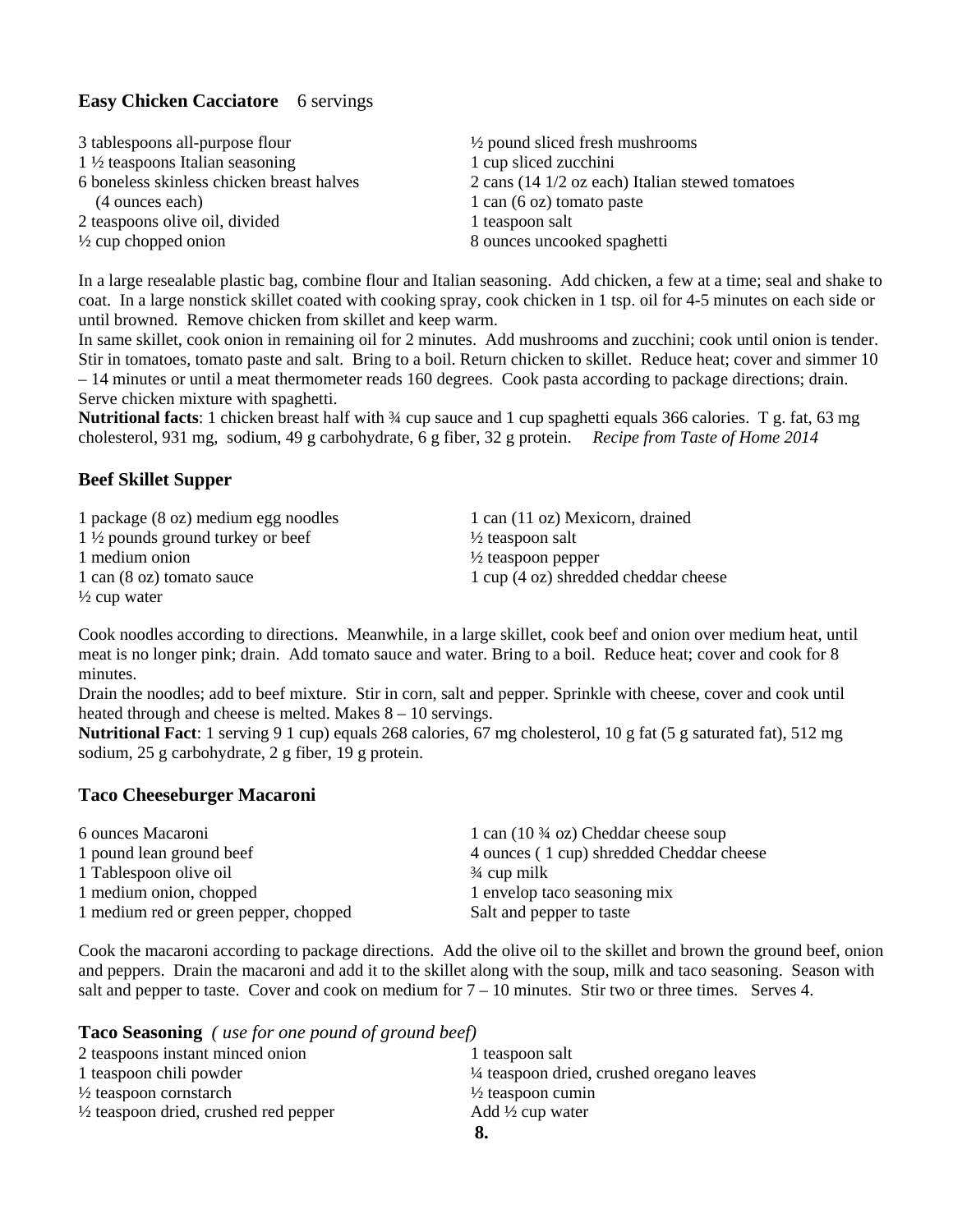#### **Easy Chicken Cacciatore** 6 servings

| 3 tablespoons all-purpose flour            | $\frac{1}{2}$ pound sliced fresh mushrooms                |
|--------------------------------------------|-----------------------------------------------------------|
| $1\frac{1}{2}$ teaspoons Italian seasoning | 1 cup sliced zucchini                                     |
| 6 boneless skinless chicken breast halves  | 2 cans $(14 \frac{1}{2}$ oz each) Italian stewed tomatoes |
| (4 ounces each)                            | $1$ can $(6$ oz) tomato paste                             |
| 2 teaspoons olive oil, divided             | 1 teaspoon salt                                           |
| $\frac{1}{2}$ cup chopped onion            | 8 ounces uncooked spaghetti                               |

In a large resealable plastic bag, combine flour and Italian seasoning. Add chicken, a few at a time; seal and shake to coat. In a large nonstick skillet coated with cooking spray, cook chicken in 1 tsp. oil for 4-5 minutes on each side or until browned. Remove chicken from skillet and keep warm.

In same skillet, cook onion in remaining oil for 2 minutes. Add mushrooms and zucchini; cook until onion is tender. Stir in tomatoes, tomato paste and salt. Bring to a boil. Return chicken to skillet. Reduce heat; cover and simmer 10 – 14 minutes or until a meat thermometer reads 160 degrees. Cook pasta according to package directions; drain. Serve chicken mixture with spaghetti.

**Nutritional facts**: 1 chicken breast half with ¾ cup sauce and 1 cup spaghetti equals 366 calories. T g. fat, 63 mg cholesterol, 931 mg, sodium, 49 g carbohydrate, 6 g fiber, 32 g protein. *Recipe from Taste of Home 2014*

#### **Beef Skillet Supper**

1 package (8 oz) medium egg noodles 1 can (11 oz) Mexicorn, drained  $1\frac{1}{2}$  pounds ground turkey or beef  $\frac{1}{2}$  teaspoon salt 1 medium onion  $\frac{1}{2}$  teaspoon pepper 1 can (8 oz) tomato sauce 1 cup (4 oz) shredded cheddar cheese  $\frac{1}{2}$  cup water

Cook noodles according to directions. Meanwhile, in a large skillet, cook beef and onion over medium heat, until meat is no longer pink; drain. Add tomato sauce and water. Bring to a boil. Reduce heat; cover and cook for 8 minutes.

Drain the noodles; add to beef mixture. Stir in corn, salt and pepper. Sprinkle with cheese, cover and cook until heated through and cheese is melted. Makes 8 – 10 servings.

**Nutritional Fact**: 1 serving 9 1 cup) equals 268 calories, 67 mg cholesterol, 10 g fat (5 g saturated fat), 512 mg sodium, 25 g carbohydrate, 2 g fiber, 19 g protein.

#### **Taco Cheeseburger Macaroni**

| 6 ounces Macaroni                     | 1 can $(10\frac{3}{4}$ oz) Cheddar cheese soup |
|---------------------------------------|------------------------------------------------|
| 1 pound lean ground beef              | 4 ounces (1 cup) shredded Cheddar cheese       |
| 1 Tablespoon olive oil                | $\frac{3}{4}$ cup milk                         |
| 1 medium onion, chopped               | 1 envelop taco seasoning mix                   |
| 1 medium red or green pepper, chopped | Salt and pepper to taste                       |

Cook the macaroni according to package directions. Add the olive oil to the skillet and brown the ground beef, onion and peppers. Drain the macaroni and add it to the skillet along with the soup, milk and taco seasoning. Season with salt and pepper to taste. Cover and cook on medium for  $7 - 10$  minutes. Stir two or three times. Serves 4.

| <b>Taco Seasoning</b> (use for one pound of ground beef) |  |  |  |
|----------------------------------------------------------|--|--|--|
|----------------------------------------------------------|--|--|--|

| 2 teaspoons instant minced onion                 | 1 teaspoon salt                            |
|--------------------------------------------------|--------------------------------------------|
| 1 teaspoon chili powder                          | 1/4 teaspoon dried, crushed oregano leaves |
| $\frac{1}{2}$ teaspoon cornstarch                | $\frac{1}{2}$ teaspoon cumin               |
| $\frac{1}{2}$ teaspoon dried, crushed red pepper | Add $\frac{1}{2}$ cup water                |
|                                                  |                                            |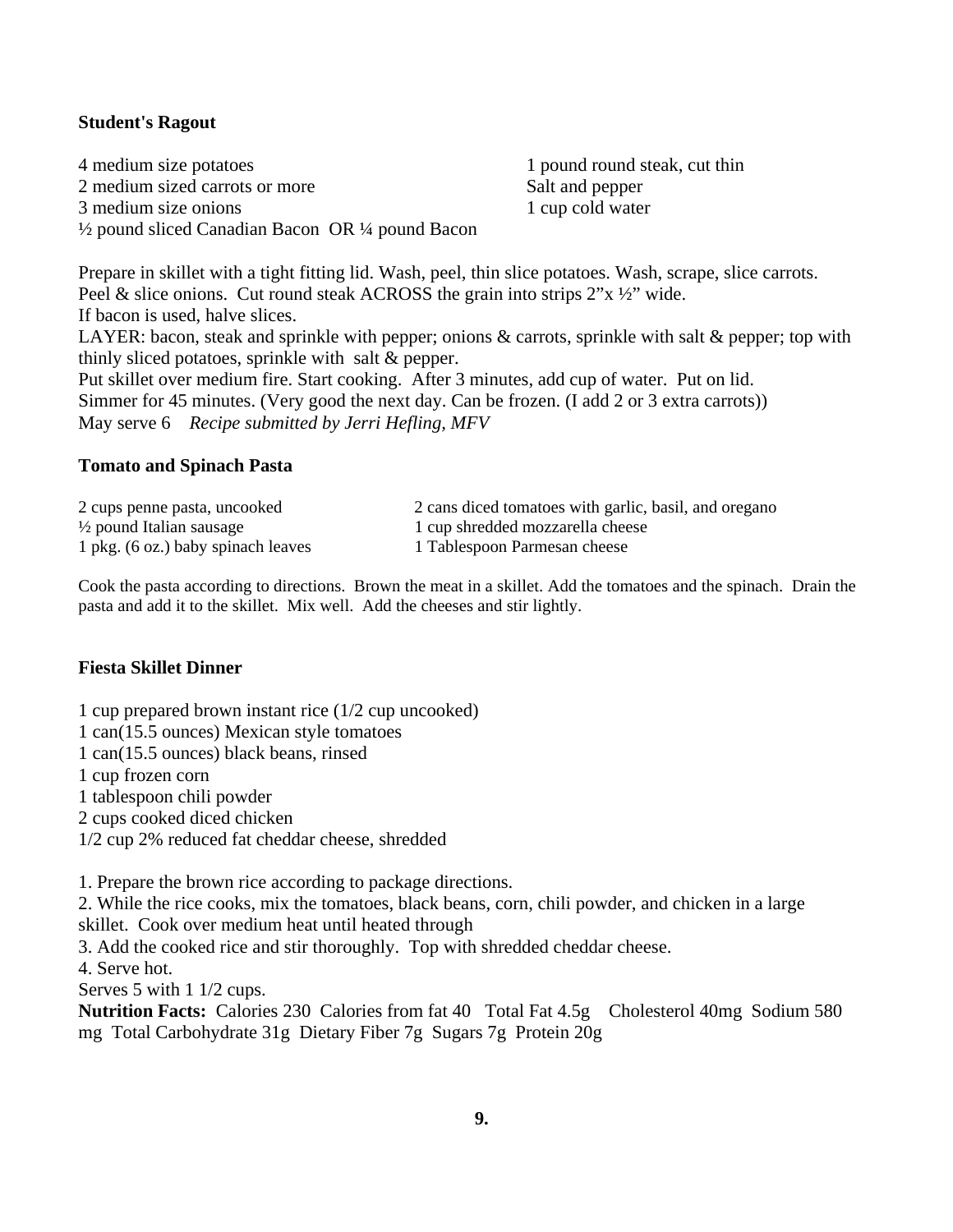#### **Student's Ragout**

4 medium size potatoes 1 pound round steak, cut thin 2 medium sized carrots or more Salt and pepper 3 medium size onions 1 cup cold water ½ pound sliced Canadian Bacon OR ¼ pound Bacon

Prepare in skillet with a tight fitting lid. Wash, peel, thin slice potatoes. Wash, scrape, slice carrots. Peel & slice onions. Cut round steak ACROSS the grain into strips  $2^{\prime\prime}x\frac{1}{2}$  wide. If bacon is used, halve slices. LAYER: bacon, steak and sprinkle with pepper; onions & carrots, sprinkle with salt & pepper; top with thinly sliced potatoes, sprinkle with salt & pepper. Put skillet over medium fire. Start cooking. After 3 minutes, add cup of water. Put on lid. Simmer for 45 minutes. (Very good the next day. Can be frozen. (I add 2 or 3 extra carrots)) May serve 6 *Recipe submitted by Jerri Hefling, MFV*

#### **Tomato and Spinach Pasta**

| 2 cups penne pasta, uncooked         | 2 cans diced tomatoes with garlic, basil, and oregano |
|--------------------------------------|-------------------------------------------------------|
| $\frac{1}{2}$ pound Italian sausage  | 1 cup shredded mozzarella cheese                      |
| $1$ pkg. (6 oz.) baby spinach leaves | 1 Tablespoon Parmesan cheese                          |

Cook the pasta according to directions. Brown the meat in a skillet. Add the tomatoes and the spinach. Drain the pasta and add it to the skillet. Mix well. Add the cheeses and stir lightly.

#### **Fiesta Skillet Dinner**

1 cup prepared brown instant rice (1/2 cup uncooked) 1 can(15.5 ounces) Mexican style tomatoes 1 can(15.5 ounces) black beans, rinsed 1 cup frozen corn 1 tablespoon chili powder 2 cups cooked diced chicken 1/2 cup 2% reduced fat cheddar cheese, shredded

1. Prepare the brown rice according to package directions.

2. While the rice cooks, mix the tomatoes, black beans, corn, chili powder, and chicken in a large skillet. Cook over medium heat until heated through

3. Add the cooked rice and stir thoroughly. Top with shredded cheddar cheese.

4. Serve hot.

Serves 5 with 1 1/2 cups.

**Nutrition Facts:** Calories 230 Calories from fat 40 Total Fat 4.5g Cholesterol 40mg Sodium 580 mg Total Carbohydrate 31g Dietary Fiber 7g Sugars 7g Protein 20g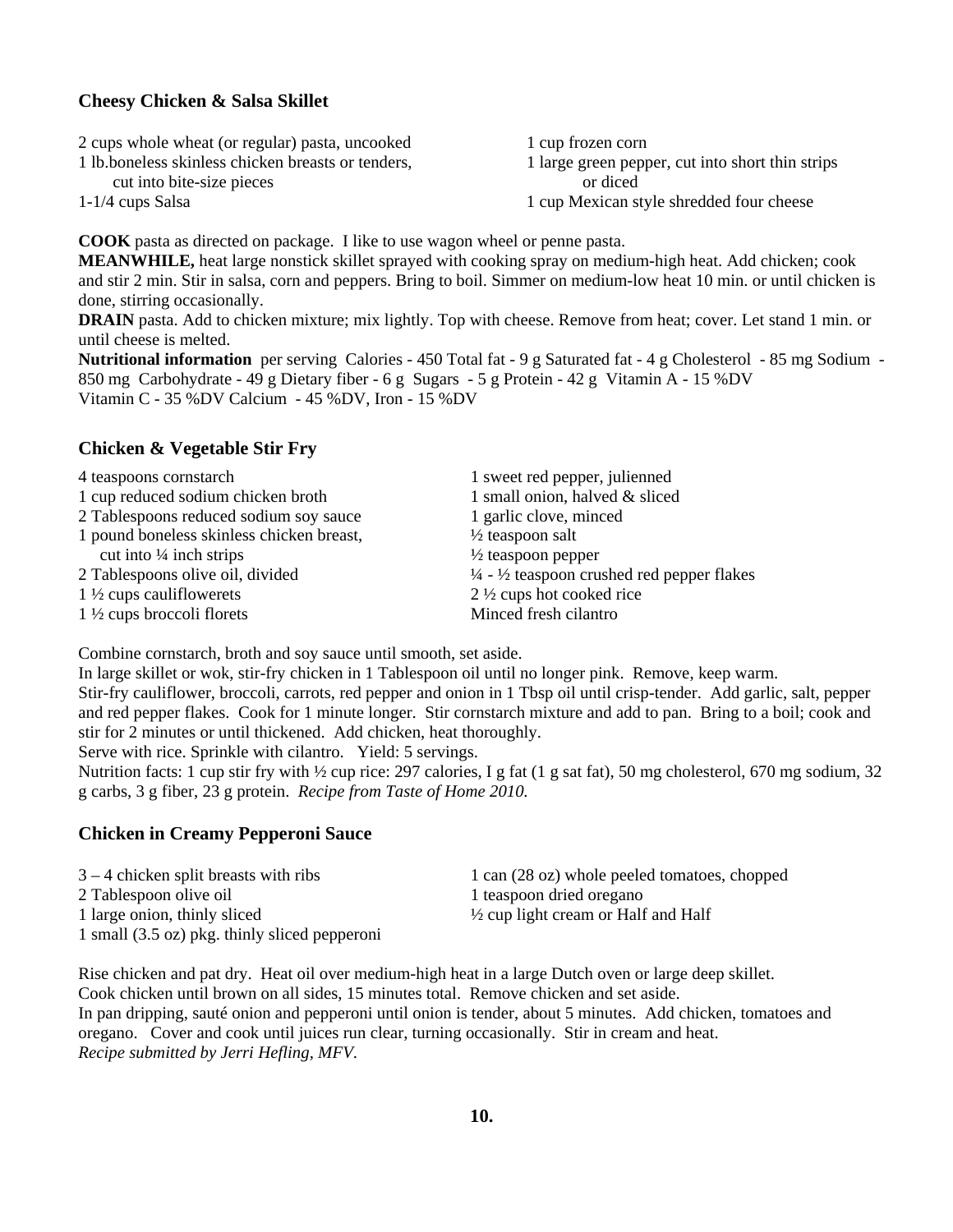#### **Cheesy Chicken & Salsa Skillet**

| 2 cups whole wheat (or regular) pasta, uncooked    | 1 cup frozen corn                                |
|----------------------------------------------------|--------------------------------------------------|
| 1 lb.boneless skinless chicken breasts or tenders, | 1 large green pepper, cut into short thin strips |
| cut into bite-size pieces                          | or diced                                         |
| $1-1/4$ cups Salsa                                 | 1 cup Mexican style shredded four cheese         |

**COOK** pasta as directed on package. I like to use wagon wheel or penne pasta.

**MEANWHILE,** heat large nonstick skillet sprayed with cooking spray on medium-high heat. Add chicken; cook and stir 2 min. Stir in salsa, corn and peppers. Bring to boil. Simmer on medium-low heat 10 min. or until chicken is done, stirring occasionally.

**DRAIN** pasta. Add to chicken mixture; mix lightly. Top with cheese. Remove from heat; cover. Let stand 1 min. or until cheese is melted.

**Nutritional information** per serving Calories - 450 Total fat - 9 g Saturated fat - 4 g Cholesterol - 85 mg Sodium - 850 mg Carbohydrate - 49 g Dietary fiber - 6 g Sugars - 5 g Protein - 42 g Vitamin A - 15 %DV Vitamin C - 35 %DV Calcium - 45 %DV, Iron - 15 %DV

#### **Chicken & Vegetable Stir Fry**

| 4 teaspoons cornstarch                    | 1 sweet red pepper, julienned                                    |
|-------------------------------------------|------------------------------------------------------------------|
| 1 cup reduced sodium chicken broth        | 1 small onion, halved & sliced                                   |
| 2 Tablespoons reduced sodium soy sauce    | 1 garlic clove, minced                                           |
| 1 pound boneless skinless chicken breast, | $\frac{1}{2}$ teaspoon salt                                      |
| cut into $\frac{1}{4}$ inch strips        | $\frac{1}{2}$ teaspoon pepper                                    |
| 2 Tablespoons olive oil, divided          | $\frac{1}{4}$ - $\frac{1}{2}$ teaspoon crushed red pepper flakes |
| $1\frac{1}{2}$ cups cauliflowerets        | $2\frac{1}{2}$ cups hot cooked rice                              |
| $1\frac{1}{2}$ cups broccoli florets      | Minced fresh cilantro                                            |

Combine cornstarch, broth and soy sauce until smooth, set aside.

In large skillet or wok, stir-fry chicken in 1 Tablespoon oil until no longer pink. Remove, keep warm. Stir-fry cauliflower, broccoli, carrots, red pepper and onion in 1 Tbsp oil until crisp-tender. Add garlic, salt, pepper and red pepper flakes. Cook for 1 minute longer. Stir cornstarch mixture and add to pan. Bring to a boil; cook and stir for 2 minutes or until thickened. Add chicken, heat thoroughly.

Serve with rice. Sprinkle with cilantro. Yield: 5 servings.

Nutrition facts: 1 cup stir fry with ½ cup rice: 297 calories, I g fat (1 g sat fat), 50 mg cholesterol, 670 mg sodium, 32 g carbs, 3 g fiber, 23 g protein. *Recipe from Taste of Home 2010.* 

#### **Chicken in Creamy Pepperoni Sauce**

| $3 - 4$ chicken split breasts with ribs       | 1 can (28 oz) whole peeled tomatoes, chopped   |
|-----------------------------------------------|------------------------------------------------|
| 2 Tablespoon olive oil                        | 1 teaspoon dried oregano                       |
| 1 large onion, thinly sliced                  | $\frac{1}{2}$ cup light cream or Half and Half |
| 1 small (3.5 oz) pkg. thinly sliced pepperoni |                                                |

Rise chicken and pat dry. Heat oil over medium-high heat in a large Dutch oven or large deep skillet. Cook chicken until brown on all sides, 15 minutes total. Remove chicken and set aside. In pan dripping, sauté onion and pepperoni until onion is tender, about 5 minutes. Add chicken, tomatoes and oregano. Cover and cook until juices run clear, turning occasionally. Stir in cream and heat. *Recipe submitted by Jerri Hefling, MFV*.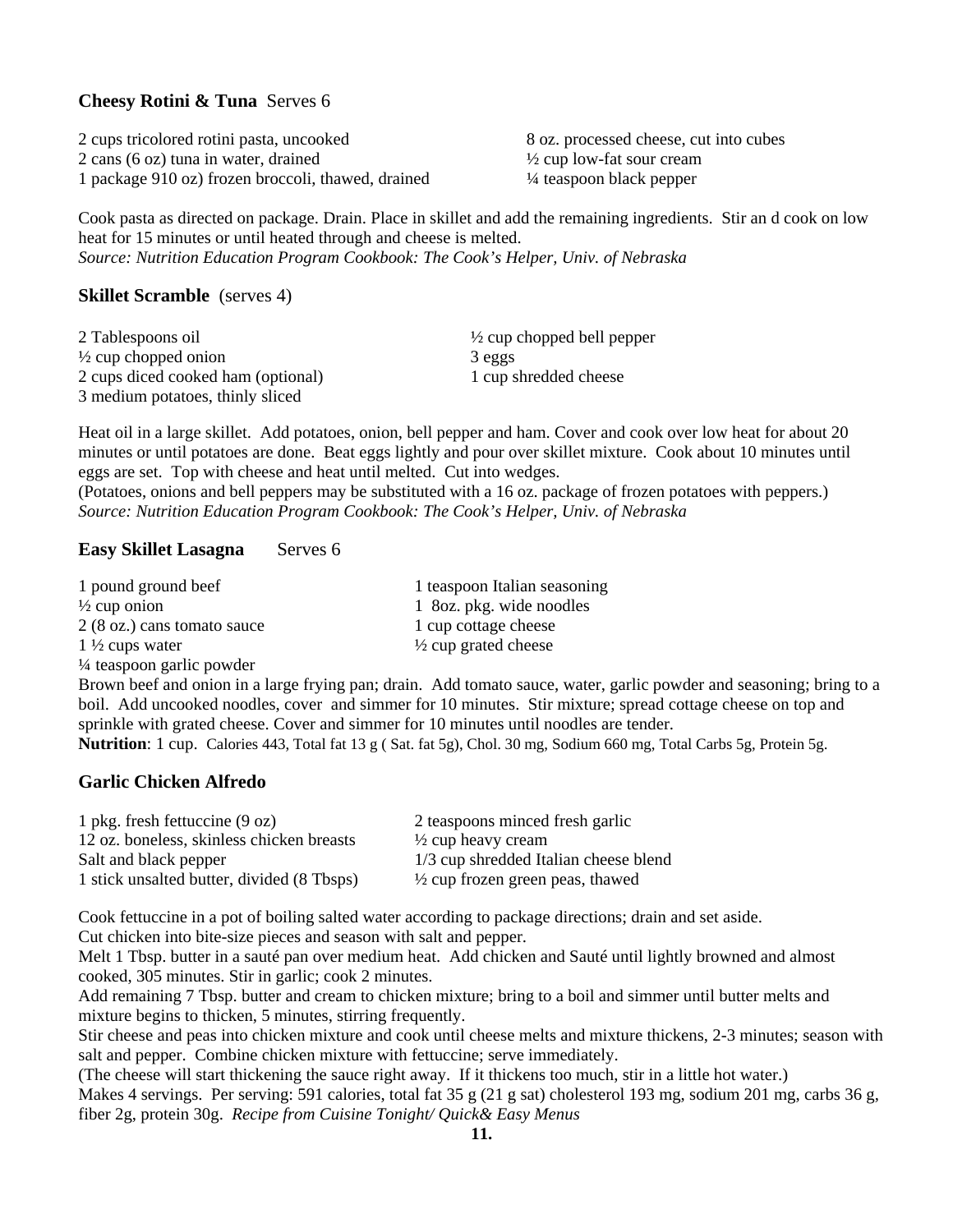#### **Cheesy Rotini & Tuna** Serves 6

2 cups tricolored rotini pasta, uncooked 8 oz. processed cheese, cut into cubes 2 cans (6 oz) tuna in water, drained ½ cup low-fat sour cream 1 package 910 oz) frozen broccoli, thawed, drained ¼ teaspoon black pepper

Cook pasta as directed on package. Drain. Place in skillet and add the remaining ingredients. Stir an d cook on low heat for 15 minutes or until heated through and cheese is melted. *Source: Nutrition Education Program Cookbook: The Cook's Helper, Univ. of Nebraska* 

#### **Skillet Scramble** (serves 4)

| 2 Tablespoons oil                  | $\frac{1}{2}$ cup chopped bell pepper |
|------------------------------------|---------------------------------------|
| $\frac{1}{2}$ cup chopped onion    | 3 eggs                                |
| 2 cups diced cooked ham (optional) | 1 cup shredded cheese                 |
| 3 medium potatoes, thinly sliced   |                                       |

Heat oil in a large skillet. Add potatoes, onion, bell pepper and ham. Cover and cook over low heat for about 20 minutes or until potatoes are done. Beat eggs lightly and pour over skillet mixture. Cook about 10 minutes until eggs are set. Top with cheese and heat until melted. Cut into wedges.

(Potatoes, onions and bell peppers may be substituted with a 16 oz. package of frozen potatoes with peppers.) *Source: Nutrition Education Program Cookbook: The Cook's Helper, Univ. of Nebraska* 

#### **Easy Skillet Lasagna** Serves 6

| 1 pound ground beef                  | 1 teaspoon Italian seasoning    |
|--------------------------------------|---------------------------------|
| $\frac{1}{2}$ cup onion              | 1 8oz. pkg. wide noodles        |
| $2(8 \text{ oz.})$ cans tomato sauce | 1 cup cottage cheese            |
| $1\frac{1}{2}$ cups water            | $\frac{1}{2}$ cup grated cheese |
| $\frac{1}{4}$ teaspoon garlic powder |                                 |

Brown beef and onion in a large frying pan; drain. Add tomato sauce, water, garlic powder and seasoning; bring to a boil. Add uncooked noodles, cover and simmer for 10 minutes. Stir mixture; spread cottage cheese on top and sprinkle with grated cheese. Cover and simmer for 10 minutes until noodles are tender.

**Nutrition**: 1 cup. Calories 443, Total fat 13 g ( Sat. fat 5g), Chol. 30 mg, Sodium 660 mg, Total Carbs 5g, Protein 5g.

#### **Garlic Chicken Alfredo**

| 1 pkg. fresh fettuccine $(9 oz)$           | 2 teaspoons minced fresh garlic             |
|--------------------------------------------|---------------------------------------------|
| 12 oz. boneless, skinless chicken breasts  | $\frac{1}{2}$ cup heavy cream               |
| Salt and black pepper                      | 1/3 cup shredded Italian cheese blend       |
| 1 stick unsalted butter, divided (8 Tbsps) | $\frac{1}{2}$ cup frozen green peas, thawed |

Cook fettuccine in a pot of boiling salted water according to package directions; drain and set aside.

Cut chicken into bite-size pieces and season with salt and pepper.

Melt 1 Tbsp. butter in a sauté pan over medium heat. Add chicken and Sauté until lightly browned and almost cooked, 305 minutes. Stir in garlic; cook 2 minutes.

Add remaining 7 Tbsp. butter and cream to chicken mixture; bring to a boil and simmer until butter melts and mixture begins to thicken, 5 minutes, stirring frequently.

Stir cheese and peas into chicken mixture and cook until cheese melts and mixture thickens, 2-3 minutes; season with salt and pepper. Combine chicken mixture with fettuccine; serve immediately.

(The cheese will start thickening the sauce right away. If it thickens too much, stir in a little hot water.) Makes 4 servings. Per serving: 591 calories, total fat 35 g (21 g sat) cholesterol 193 mg, sodium 201 mg, carbs 36 g, fiber 2g, protein 30g. *Recipe from Cuisine Tonight/ Quick& Easy Menus*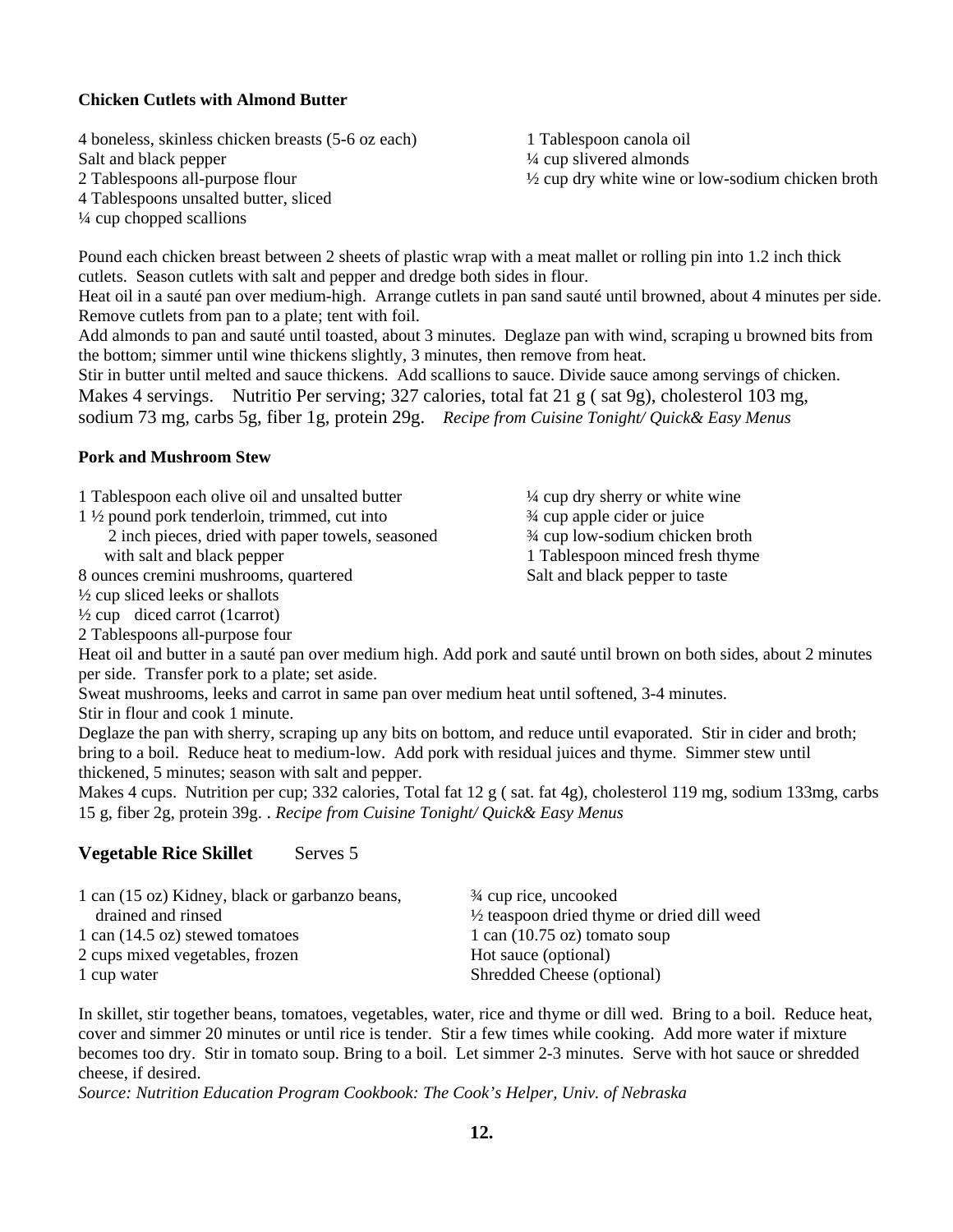#### **Chicken Cutlets with Almond Butter**

4 boneless, skinless chicken breasts (5-6 oz each) 1 Tablespoon canola oil Salt and black pepper  $\frac{1}{4}$  cup slivered almonds 4 Tablespoons unsalted butter, sliced ¼ cup chopped scallions

2 Tablespoons all-purpose flour  $\frac{1}{2}$  cup dry white wine or low-sodium chicken broth

Pound each chicken breast between 2 sheets of plastic wrap with a meat mallet or rolling pin into 1.2 inch thick cutlets. Season cutlets with salt and pepper and dredge both sides in flour.

Heat oil in a sauté pan over medium-high. Arrange cutlets in pan sand sauté until browned, about 4 minutes per side. Remove cutlets from pan to a plate; tent with foil.

Add almonds to pan and sauté until toasted, about 3 minutes. Deglaze pan with wind, scraping u browned bits from the bottom; simmer until wine thickens slightly, 3 minutes, then remove from heat.

Stir in butter until melted and sauce thickens. Add scallions to sauce. Divide sauce among servings of chicken. Makes 4 servings. Nutritio Per serving; 327 calories, total fat 21 g (sat 9g), cholesterol 103 mg, sodium 73 mg, carbs 5g, fiber 1g, protein 29g. *Recipe from Cuisine Tonight/ Quick& Easy Menus*

#### **Pork and Mushroom Stew**

| 1 Tablespoon each olive oil and unsalted butter         | $\frac{1}{4}$ cup dry sherry or white wine |
|---------------------------------------------------------|--------------------------------------------|
| $1\frac{1}{2}$ pound pork tenderloin, trimmed, cut into | 3/4 cup apple cider or juice               |
| 2 inch pieces, dried with paper towels, seasoned        | 3/4 cup low-sodium chicken broth           |
| with salt and black pepper                              | 1 Tablespoon minced fresh thyme            |
| 8 ounces cremini mushrooms, quartered                   | Salt and black pepper to taste             |
| $\frac{1}{2}$ cup sliced leeks or shallots              |                                            |
| $\frac{1}{2}$ cup diced carrot (1 carrot)               |                                            |

Heat oil and butter in a sauté pan over medium high. Add pork and sauté until brown on both sides, about 2 minutes per side. Transfer pork to a plate; set aside.

Sweat mushrooms, leeks and carrot in same pan over medium heat until softened, 3-4 minutes.

Stir in flour and cook 1 minute.

2 Tablespoons all-purpose four

Deglaze the pan with sherry, scraping up any bits on bottom, and reduce until evaporated. Stir in cider and broth; bring to a boil. Reduce heat to medium-low. Add pork with residual juices and thyme. Simmer stew until thickened, 5 minutes; season with salt and pepper.

Makes 4 cups. Nutrition per cup; 332 calories, Total fat 12 g ( sat. fat 4g), cholesterol 119 mg, sodium 133mg, carbs 15 g, fiber 2g, protein 39g. . *Recipe from Cuisine Tonight/ Quick& Easy Menus*

#### **Vegetable Rice Skillet** Serves 5

| 1 can (15 oz) Kidney, black or garbanzo beans, | 3/4 cup rice, uncooked                                |
|------------------------------------------------|-------------------------------------------------------|
| drained and rinsed                             | $\frac{1}{2}$ teaspoon dried thyme or dried dill weed |
| 1 can $(14.5 \text{ oz})$ stewed tomatoes      | 1 can $(10.75 \text{ oz})$ tomato soup                |
| 2 cups mixed vegetables, frozen                | Hot sauce (optional)                                  |
| 1 cup water                                    | Shredded Cheese (optional)                            |

In skillet, stir together beans, tomatoes, vegetables, water, rice and thyme or dill wed. Bring to a boil. Reduce heat, cover and simmer 20 minutes or until rice is tender. Stir a few times while cooking. Add more water if mixture becomes too dry. Stir in tomato soup. Bring to a boil. Let simmer 2-3 minutes. Serve with hot sauce or shredded cheese, if desired.

*Source: Nutrition Education Program Cookbook: The Cook's Helper, Univ. of Nebraska*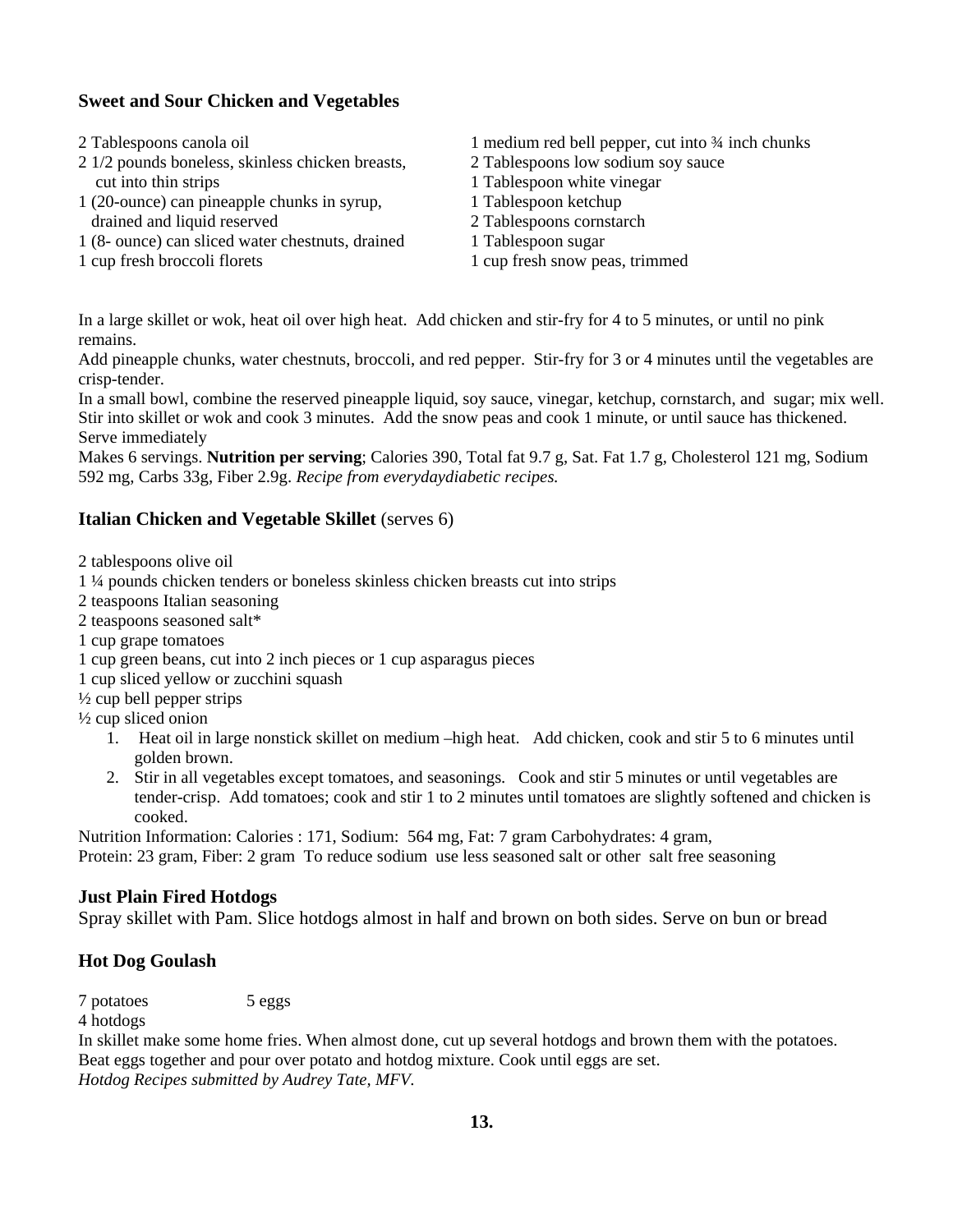#### **Sweet and Sour Chicken and Vegetables**

- 
- 2 1/2 pounds boneless, skinless chicken breasts, 2 Tablespoons low sodium soy sauce cut into thin strips 1 Tablespoon white vinegar
- 1 (20-ounce) can pineapple chunks in syrup, 1 Tablespoon ketchup drained and liquid reserved 2 Tablespoons cornstarch
- 1 (8- ounce) can sliced water chestnuts, drained 1 Tablespoon sugar
- 
- 2 Tablespoons canola oil 1 medium red bell pepper, cut into ¾ inch chunks
	-
	-
	-
	-
	-
- 1 cup fresh broccoli florets 1 cup fresh snow peas, trimmed

In a large skillet or wok, heat oil over high heat. Add chicken and stir-fry for 4 to 5 minutes, or until no pink remains.

Add pineapple chunks, water chestnuts, broccoli, and red pepper. Stir-fry for 3 or 4 minutes until the vegetables are crisp-tender.

In a small bowl, combine the reserved pineapple liquid, soy sauce, vinegar, ketchup, cornstarch, and sugar; mix well. Stir into skillet or wok and cook 3 minutes. Add the snow peas and cook 1 minute, or until sauce has thickened. Serve immediately

Makes 6 servings. **Nutrition per serving**; Calories 390, Total fat 9.7 g, Sat. Fat 1.7 g, Cholesterol 121 mg, Sodium 592 mg, Carbs 33g, Fiber 2.9g. *Recipe from everydaydiabetic recipes.* 

#### **Italian Chicken and Vegetable Skillet** (serves 6)

2 tablespoons olive oil

1 ¼ pounds chicken tenders or boneless skinless chicken breasts cut into strips

2 teaspoons Italian seasoning

2 teaspoons seasoned salt\*

1 cup grape tomatoes

1 cup green beans, cut into 2 inch pieces or 1 cup asparagus pieces

1 cup sliced yellow or zucchini squash

 $\frac{1}{2}$  cup bell pepper strips

½ cup sliced onion

- 1. Heat oil in large nonstick skillet on medium –high heat. Add chicken, cook and stir 5 to 6 minutes until golden brown.
- 2. Stir in all vegetables except tomatoes, and seasonings. Cook and stir 5 minutes or until vegetables are tender-crisp. Add tomatoes; cook and stir 1 to 2 minutes until tomatoes are slightly softened and chicken is cooked.

Nutrition Information: Calories : 171, Sodium: 564 mg, Fat: 7 gram Carbohydrates: 4 gram, Protein: 23 gram, Fiber: 2 gram To reduce sodium use less seasoned salt or other salt free seasoning

#### **Just Plain Fired Hotdogs**

Spray skillet with Pam. Slice hotdogs almost in half and brown on both sides. Serve on bun or bread

#### **Hot Dog Goulash**

7 potatoes 5 eggs

4 hotdogs

In skillet make some home fries. When almost done, cut up several hotdogs and brown them with the potatoes. Beat eggs together and pour over potato and hotdog mixture. Cook until eggs are set. *Hotdog Recipes submitted by Audrey Tate, MFV.*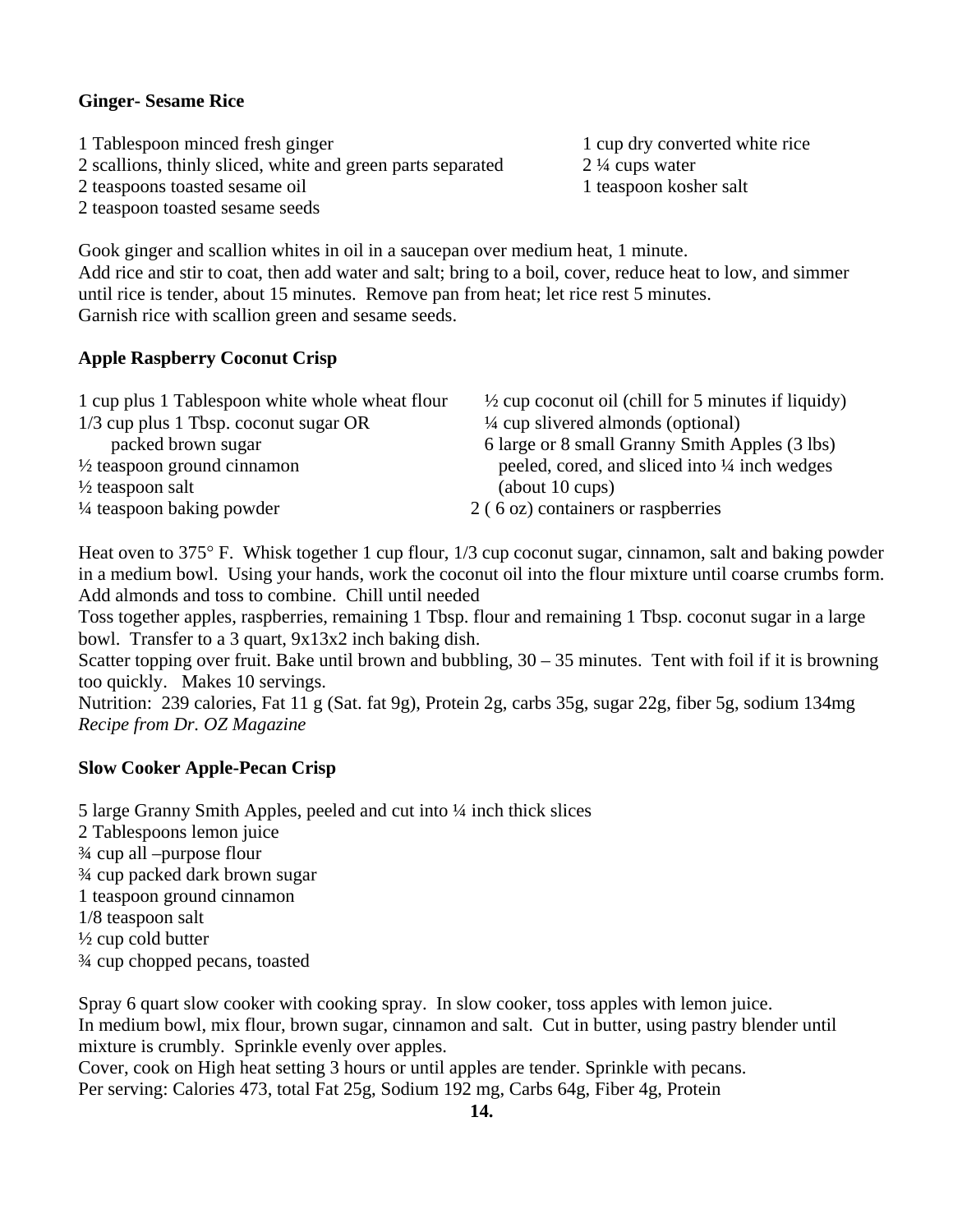#### **Ginger- Sesame Rice**

1 Tablespoon minced fresh ginger 1 cup dry converted white rice 2 scallions, thinly sliced, white and green parts separated 2 <sup>1</sup>/4 cups water 2 teaspoons toasted sesame oil 1 teaspoon kosher salt 2 teaspoon toasted sesame seeds

Gook ginger and scallion whites in oil in a saucepan over medium heat, 1 minute. Add rice and stir to coat, then add water and salt; bring to a boil, cover, reduce heat to low, and simmer until rice is tender, about 15 minutes. Remove pan from heat; let rice rest 5 minutes. Garnish rice with scallion green and sesame seeds.

#### **Apple Raspberry Coconut Crisp**

| 1 cup plus 1 Tablespoon white whole wheat flour | $\frac{1}{2}$ cup coconut oil (chill for 5 minutes if liquidy) |
|-------------------------------------------------|----------------------------------------------------------------|
| 1/3 cup plus 1 Tbsp. coconut sugar OR           | $\frac{1}{4}$ cup slivered almonds (optional)                  |
| packed brown sugar                              | 6 large or 8 small Granny Smith Apples (3 lbs)                 |
| $\frac{1}{2}$ teaspoon ground cinnamon          | peeled, cored, and sliced into 1/4 inch wedges                 |
| $\frac{1}{2}$ teaspoon salt                     | (about 10 cups)                                                |
| $\frac{1}{4}$ teaspoon baking powder            | 2 ( 6 oz) containers or raspberries                            |

Heat oven to 375° F. Whisk together 1 cup flour, 1/3 cup coconut sugar, cinnamon, salt and baking powder in a medium bowl. Using your hands, work the coconut oil into the flour mixture until coarse crumbs form. Add almonds and toss to combine. Chill until needed

Toss together apples, raspberries, remaining 1 Tbsp. flour and remaining 1 Tbsp. coconut sugar in a large bowl. Transfer to a 3 quart, 9x13x2 inch baking dish.

Scatter topping over fruit. Bake until brown and bubbling,  $30 - 35$  minutes. Tent with foil if it is browning too quickly. Makes 10 servings.

Nutrition: 239 calories, Fat 11 g (Sat. fat 9g), Protein 2g, carbs 35g, sugar 22g, fiber 5g, sodium 134mg *Recipe from Dr. OZ Magazine* 

#### **Slow Cooker Apple-Pecan Crisp**

5 large Granny Smith Apples, peeled and cut into ¼ inch thick slices 2 Tablespoons lemon juice ¾ cup all –purpose flour ¾ cup packed dark brown sugar 1 teaspoon ground cinnamon 1/8 teaspoon salt  $\frac{1}{2}$  cup cold butter ¾ cup chopped pecans, toasted

Spray 6 quart slow cooker with cooking spray. In slow cooker, toss apples with lemon juice. In medium bowl, mix flour, brown sugar, cinnamon and salt. Cut in butter, using pastry blender until mixture is crumbly. Sprinkle evenly over apples.

Cover, cook on High heat setting 3 hours or until apples are tender. Sprinkle with pecans. Per serving: Calories 473, total Fat 25g, Sodium 192 mg, Carbs 64g, Fiber 4g, Protein